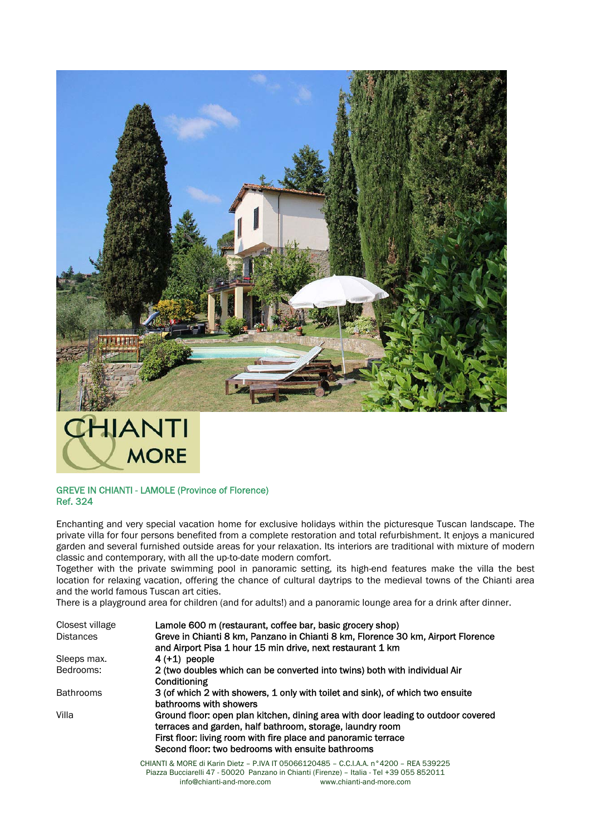



## GREVE IN CHIANTI - LAMOLE (Province of Florence) Ref. 324

Enchanting and very special vacation home for exclusive holidays within the picturesque Tuscan landscape. The private villa for four persons benefited from a complete restoration and total refurbishment. It enjoys a manicured garden and several furnished outside areas for your relaxation. Its interiors are traditional with mixture of modern classic and contemporary, with all the up-to-date modern comfort.

Together with the private swimming pool in panoramic setting, its high-end features make the villa the best location for relaxing vacation, offering the chance of cultural daytrips to the medieval towns of the Chianti area and the world famous Tuscan art cities.

There is a playground area for children (and for adults!) and a panoramic lounge area for a drink after dinner.

| Closest village  | Lamole 600 m (restaurant, coffee bar, basic grocery shop)                                                                                                                                                                                                             |
|------------------|-----------------------------------------------------------------------------------------------------------------------------------------------------------------------------------------------------------------------------------------------------------------------|
| <b>Distances</b> | Greve in Chianti 8 km, Panzano in Chianti 8 km, Florence 30 km, Airport Florence<br>and Airport Pisa 1 hour 15 min drive, next restaurant 1 km                                                                                                                        |
| Sleeps max.      | $4(+1)$ people                                                                                                                                                                                                                                                        |
| Bedrooms:        | 2 (two doubles which can be converted into twins) both with individual Air<br>Conditioning                                                                                                                                                                            |
| <b>Bathrooms</b> | 3 (of which 2 with showers, 1 only with toilet and sink), of which two ensuite<br>bathrooms with showers                                                                                                                                                              |
| Villa            | Ground floor: open plan kitchen, dining area with door leading to outdoor covered<br>terraces and garden, half bathroom, storage, laundry room<br>First floor: living room with fire place and panoramic terrace<br>Second floor: two bedrooms with ensuite bathrooms |
|                  | CHIANTI & MORE di Karin Dietz - P.IVA IT 05066120485 - C.C.I.A.A. n°4200 - REA 539225                                                                                                                                                                                 |

CHIANTI & MORE di Karin Dietz – P.IVA IT 05066120485 – C.C.I.A.A. n°4200 – REA 539225 Piazza Bucciarelli 47 - 50020 Panzano in Chianti (Firenze) – Italia - Tel +39 055 852011 info@chianti-and-more.com www.chianti-and-more.com